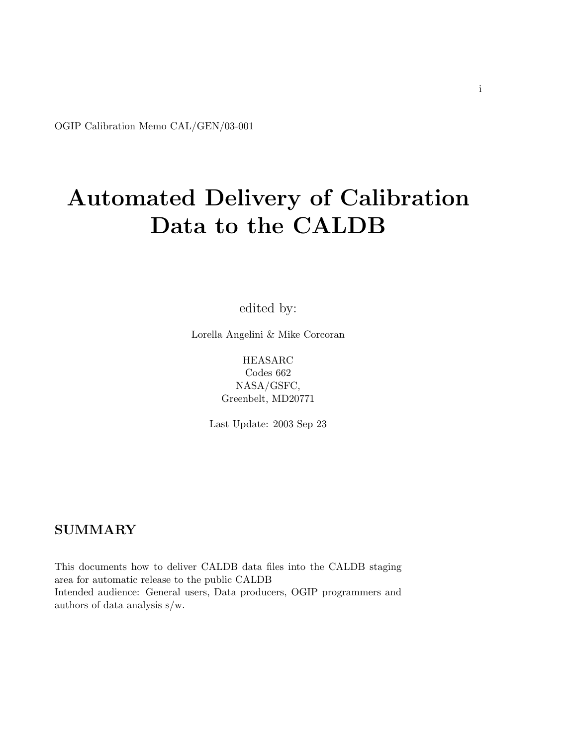<span id="page-0-0"></span>OGIP Calibration Memo CAL/GEN/03-001

# Automated Delivery of Calibration Data to the CALDB

edited by:

Lorella Angelini & Mike Corcoran

HEASARC Codes 662 NASA/GSFC, Greenbelt, MD20771

Last Update: 2003 Sep 23

#### SUMMARY

This documents how to deliver CALDB data files into the CALDB staging area for automatic release to the public CALDB Intended audience: General users, Data producers, OGIP programmers and authors of data analysis s/w.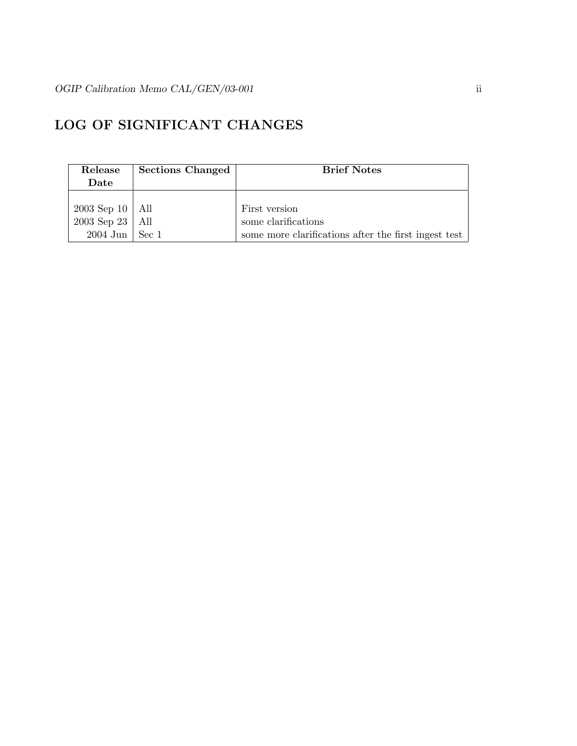## LOG OF SIGNIFICANT CHANGES

| Release             | <b>Sections Changed</b> | <b>Brief Notes</b>                                   |
|---------------------|-------------------------|------------------------------------------------------|
| Date                |                         |                                                      |
|                     |                         |                                                      |
| $2003$ Sep 10   All |                         | First version                                        |
| $2003$ Sep 23   All |                         | some clarifications                                  |
| $2004$ Jun   Sec 1  |                         | some more clarifications after the first ingest test |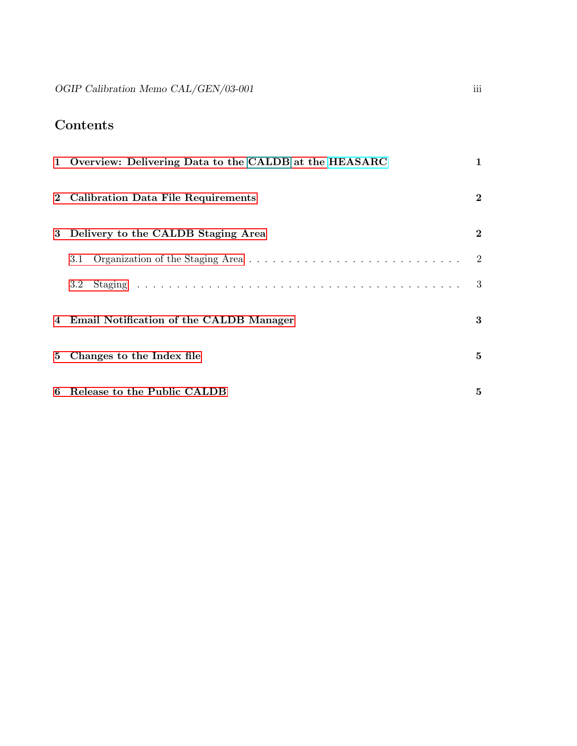# Contents

|   | 1 Overview: Delivering Data to the CALDB at the HEASARC                                                         |                           |
|---|-----------------------------------------------------------------------------------------------------------------|---------------------------|
|   | 2 Calibration Data File Requirements                                                                            | $\overline{2}$            |
| 3 | Delivery to the CALDB Staging Area                                                                              | $\overline{2}$            |
|   | Organization of the Staging Area $\ldots \ldots \ldots \ldots \ldots \ldots \ldots \ldots \ldots \ldots$<br>3.1 | $\overline{\phantom{a}2}$ |
|   | $3.2\phantom{0}$                                                                                                | - 3                       |
|   | 4 Email Notification of the CALDB Manager                                                                       | 3                         |
|   | 5 Changes to the Index file                                                                                     | $\bf{5}$                  |
|   | 6 Release to the Public CALDB                                                                                   | 5                         |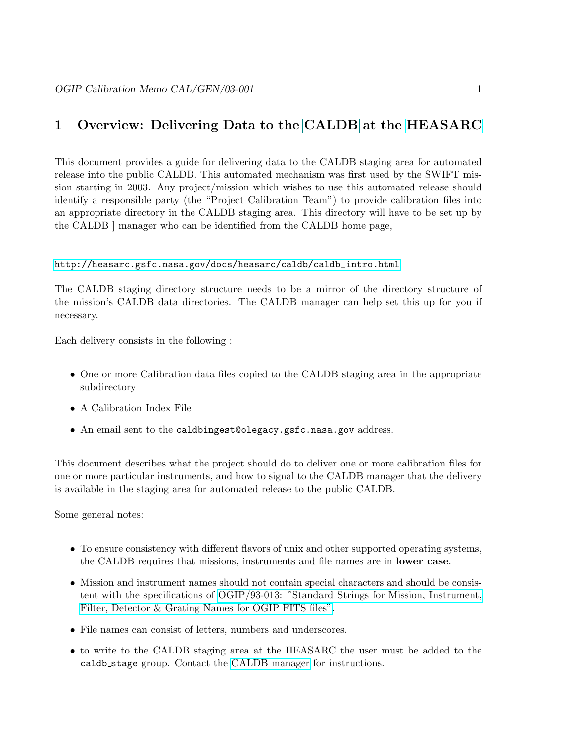#### <span id="page-3-0"></span>1 Overview: Delivering Data to the [CALDB](#page-0-0) at the [HEASARC](http://heasarc.gsfc.nasa.gov)

This document provides a guide for delivering data to the CALDB staging area for automated release into the public CALDB. This automated mechanism was first used by the SWIFT mission starting in 2003. Any project/mission which wishes to use this automated release should identify a responsible party (the "Project Calibration Team") to provide calibration files into an appropriate directory in the CALDB staging area. This directory will have to be set up by the CALDB ] manager who can be identified from the CALDB home page,

#### [http://heasarc.gsfc.nasa.gov/docs/heasarc/caldb/caldb\\_intro.html](http://heasarc.gsfc.nasa.gov/docs/heasarc/caldb/caldb_intro.html)

The CALDB staging directory structure needs to be a mirror of the directory structure of the mission's CALDB data directories. The CALDB manager can help set this up for you if necessary.

Each delivery consists in the following :

- One or more Calibration data files copied to the CALDB staging area in the appropriate subdirectory
- A Calibration Index File
- An email sent to the caldbingest@olegacy.gsfc.nasa.gov address.

This document describes what the project should do to deliver one or more calibration files for one or more particular instruments, and how to signal to the CALDB manager that the delivery is available in the staging area for automated release to the public CALDB.

Some general notes:

- To ensure consistency with different flavors of unix and other supported operating systems, the CALDB requires that missions, instruments and file names are in lower case.
- Mission and instrument names should not contain special characters and should be consistent with the specifications of [OGIP/93-013: "Standard Strings for Mission, Instrument,](file:/docs/heasarc/ofwg/docs/general/ogip_93_013/ogip_93_013.html) [Filter, Detector & Grating Names for OGIP FITS files".](file:/docs/heasarc/ofwg/docs/general/ogip_93_013/ogip_93_013.html)
- File names can consist of letters, numbers and underscores.
- to write to the CALDB staging area at the HEASARC the user must be added to the caldb stage group. Contact the [CALDB manager](mailto:caldbingest@olegacy.gsfc.nasa.gov) for instructions.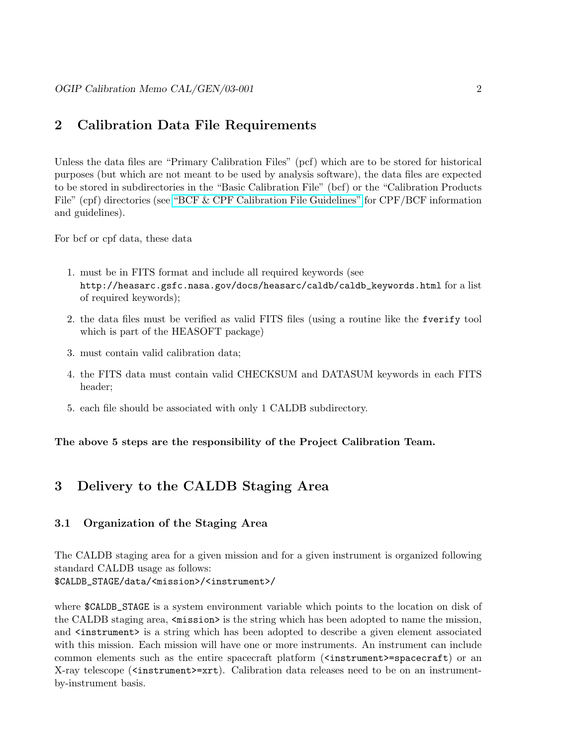#### <span id="page-4-0"></span>2 Calibration Data File Requirements

Unless the data files are "Primary Calibration Files" (pcf) which are to be stored for historical purposes (but which are not meant to be used by analysis software), the data files are expected to be stored in subdirectories in the "Basic Calibration File" (bcf) or the "Calibration Products File" (cpf) directories (see ["BCF & CPF Calibration File Guidelines"](file:/docs/heasarc/caldb/docs/summary/cal_gen_92_003_summary.html) for CPF/BCF information and guidelines).

For bcf or cpf data, these data

- 1. must be in FITS format and include all required keywords (see http://heasarc.gsfc.nasa.gov/docs/heasarc/caldb/caldb\_keywords.html for a list of required keywords);
- 2. the data files must be verified as valid FITS files (using a routine like the fverify tool which is part of the HEASOFT package)
- 3. must contain valid calibration data;
- 4. the FITS data must contain valid CHECKSUM and DATASUM keywords in each FITS header;
- 5. each file should be associated with only 1 CALDB subdirectory.

The above 5 steps are the responsibility of the Project Calibration Team.

## <span id="page-4-1"></span>3 Delivery to the CALDB Staging Area

#### <span id="page-4-2"></span>3.1 Organization of the Staging Area

The CALDB staging area for a given mission and for a given instrument is organized following standard CALDB usage as follows:

\$CALDB\_STAGE/data/<mission>/<instrument>/

where **\$CALDB\_STAGE** is a system environment variable which points to the location on disk of the CALDB staging area,  $\langle \text{mission} \rangle$  is the string which has been adopted to name the mission, and  $\zeta$  instrument is a string which has been adopted to describe a given element associated with this mission. Each mission will have one or more instruments. An instrument can include common elements such as the entire spacecraft platform (<instrument>=spacecraft) or an X-ray telescope (<instrument>=xrt). Calibration data releases need to be on an instrumentby-instrument basis.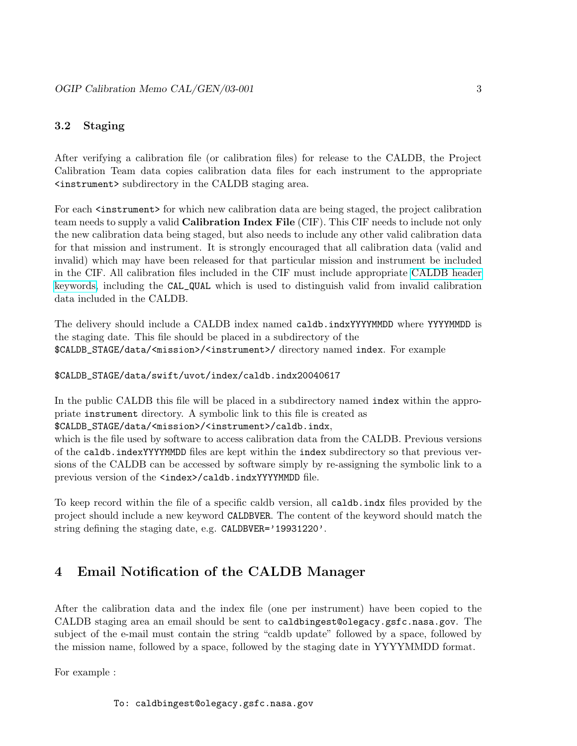#### <span id="page-5-0"></span>3.2 Staging

After verifying a calibration file (or calibration files) for release to the CALDB, the Project Calibration Team data copies calibration data files for each instrument to the appropriate <instrument> subdirectory in the CALDB staging area.

For each  $\zeta$  instrument for which new calibration data are being staged, the project calibration team needs to supply a valid Calibration Index File (CIF). This CIF needs to include not only the new calibration data being staged, but also needs to include any other valid calibration data for that mission and instrument. It is strongly encouraged that all calibration data (valid and invalid) which may have been released for that particular mission and instrument be included in the CIF. All calibration files included in the CIF must include appropriate [CALDB header](file:/docs/heasarc/caldb/caldb_keywords.html) [keywords,](file:/docs/heasarc/caldb/caldb_keywords.html) including the CAL\_QUAL which is used to distinguish valid from invalid calibration data included in the CALDB.

The delivery should include a CALDB index named caldb.indxYYYYMMDD where YYYYMMDD is the staging date. This file should be placed in a subdirectory of the \$CALDB\_STAGE/data/<mission>/<instrument>/ directory named index. For example

\$CALDB\_STAGE/data/swift/uvot/index/caldb.indx20040617

In the public CALDB this file will be placed in a subdirectory named index within the appropriate instrument directory. A symbolic link to this file is created as

\$CALDB\_STAGE/data/<mission>/<instrument>/caldb.indx,

which is the file used by software to access calibration data from the CALDB. Previous versions of the caldb.indexYYYYMMDD files are kept within the index subdirectory so that previous versions of the CALDB can be accessed by software simply by re-assigning the symbolic link to a previous version of the <index>/caldb.indxYYYYMMDD file.

To keep record within the file of a specific caldb version, all caldb.indx files provided by the project should include a new keyword CALDBVER. The content of the keyword should match the string defining the staging date, e.g. CALDBVER='19931220'.

## <span id="page-5-1"></span>4 Email Notification of the CALDB Manager

After the calibration data and the index file (one per instrument) have been copied to the CALDB staging area an email should be sent to caldbingest@olegacy.gsfc.nasa.gov. The subject of the e-mail must contain the string "caldb update" followed by a space, followed by the mission name, followed by a space, followed by the staging date in YYYYMMDD format.

For example :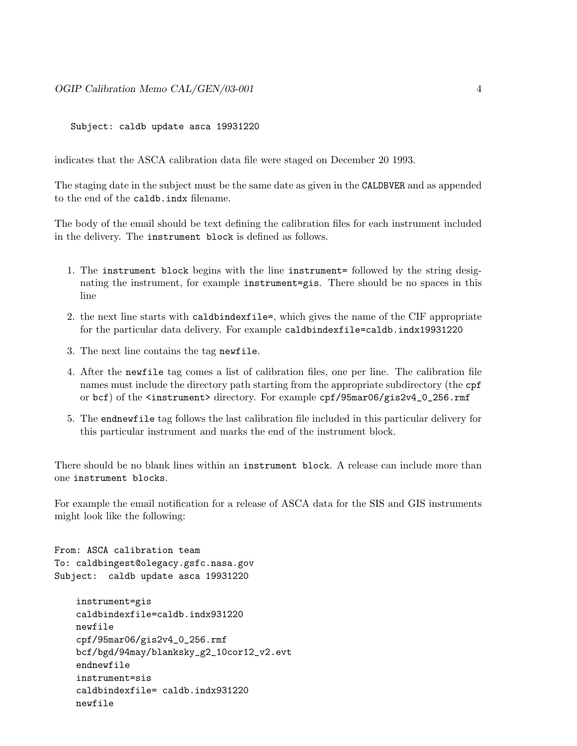Subject: caldb update asca 19931220

indicates that the ASCA calibration data file were staged on December 20 1993.

The staging date in the subject must be the same date as given in the CALDBVER and as appended to the end of the caldb.indx filename.

The body of the email should be text defining the calibration files for each instrument included in the delivery. The instrument block is defined as follows.

- 1. The instrument block begins with the line instrument= followed by the string designating the instrument, for example instrument=gis. There should be no spaces in this line
- 2. the next line starts with caldbindexfile=, which gives the name of the CIF appropriate for the particular data delivery. For example caldbindexfile=caldb.indx19931220
- 3. The next line contains the tag newfile.
- 4. After the newfile tag comes a list of calibration files, one per line. The calibration file names must include the directory path starting from the appropriate subdirectory (the cpf or bcf) of the <instrument> directory. For example cpf/95mar06/gis2v4\_0\_256.rmf
- 5. The endnewfile tag follows the last calibration file included in this particular delivery for this particular instrument and marks the end of the instrument block.

There should be no blank lines within an instrument block. A release can include more than one instrument blocks.

For example the email notification for a release of ASCA data for the SIS and GIS instruments might look like the following:

From: ASCA calibration team To: caldbingest@olegacy.gsfc.nasa.gov Subject: caldb update asca 19931220

```
instrument=gis
caldbindexfile=caldb.indx931220
newfile
cpf/95mar06/gis2v4_0_256.rmf
bcf/bgd/94may/blanksky_g2_10cor12_v2.evt
endnewfile
instrument=sis
caldbindexfile= caldb.indx931220
newfile
```